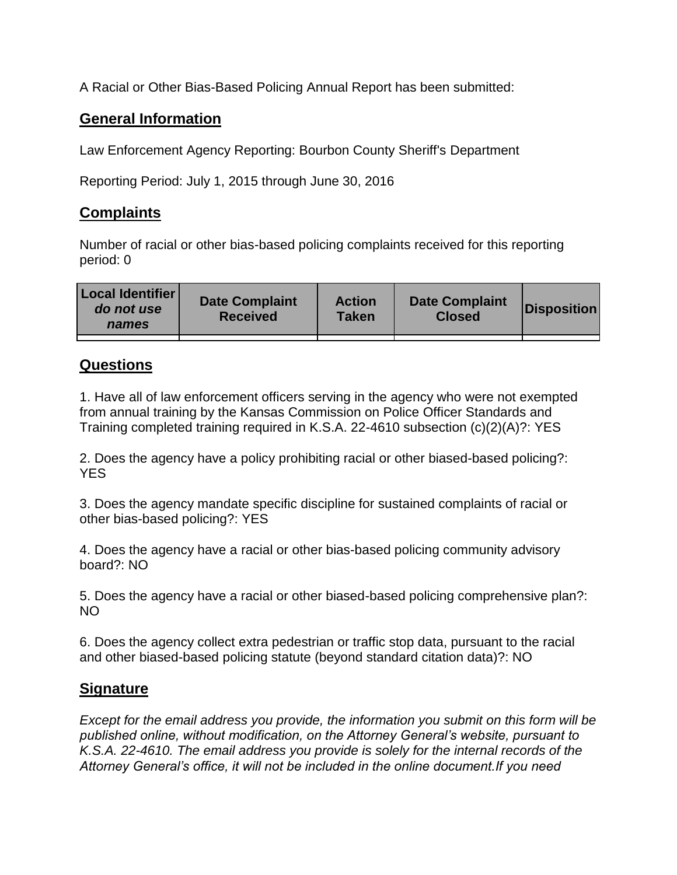A Racial or Other Bias-Based Policing Annual Report has been submitted:

## **General Information**

Law Enforcement Agency Reporting: Bourbon County Sheriff's Department

Reporting Period: July 1, 2015 through June 30, 2016

## **Complaints**

Number of racial or other bias-based policing complaints received for this reporting period: 0

| <b>Local Identifier</b><br>do not use<br>names | <b>Date Complaint</b><br><b>Received</b> | <b>Action</b><br><b>Taken</b> | <b>Date Complaint</b><br><b>Closed</b> | Disposition |
|------------------------------------------------|------------------------------------------|-------------------------------|----------------------------------------|-------------|
|                                                |                                          |                               |                                        |             |

## **Questions**

1. Have all of law enforcement officers serving in the agency who were not exempted from annual training by the Kansas Commission on Police Officer Standards and Training completed training required in K.S.A. 22-4610 subsection (c)(2)(A)?: YES

2. Does the agency have a policy prohibiting racial or other biased-based policing?: YES

3. Does the agency mandate specific discipline for sustained complaints of racial or other bias-based policing?: YES

4. Does the agency have a racial or other bias-based policing community advisory board?: NO

5. Does the agency have a racial or other biased-based policing comprehensive plan?: NO

6. Does the agency collect extra pedestrian or traffic stop data, pursuant to the racial and other biased-based policing statute (beyond standard citation data)?: NO

## **Signature**

*Except for the email address you provide, the information you submit on this form will be published online, without modification, on the Attorney General's website, pursuant to K.S.A. 22-4610. The email address you provide is solely for the internal records of the Attorney General's office, it will not be included in the online document.If you need*